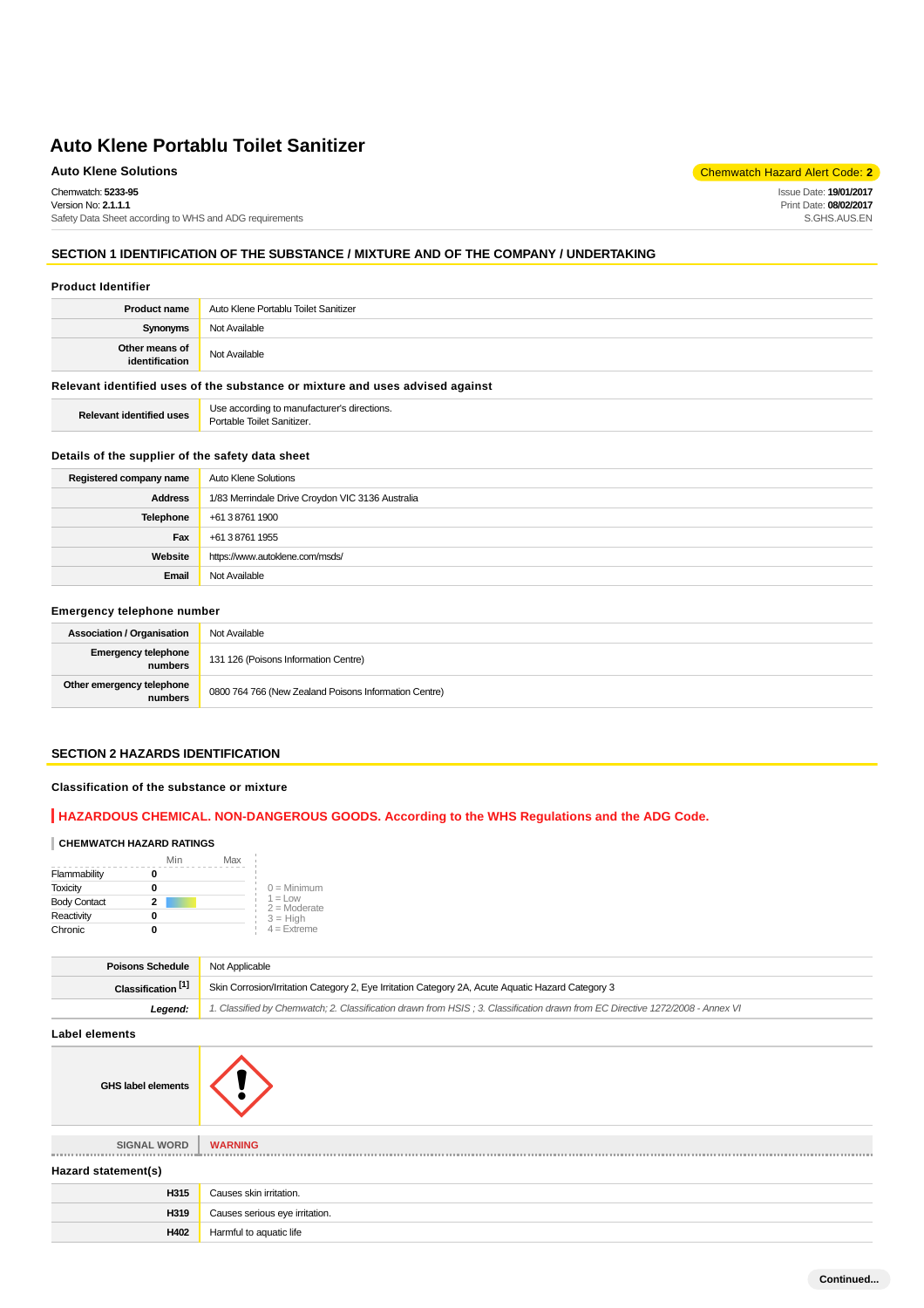Chemwatch: **5233-95**

Version No: **2.1.1.1** Safety Data Sheet according to WHS and ADG requirements

## **SECTION 1 IDENTIFICATION OF THE SUBSTANCE / MIXTURE AND OF THE COMPANY / UNDERTAKING**

#### **Product Identifier**

| Not Available<br><b>Synonyms</b> | <b>Product name</b>              | Auto Klene Portablu Toilet Sanitizer |  |
|----------------------------------|----------------------------------|--------------------------------------|--|
|                                  |                                  |                                      |  |
|                                  | Other means of<br>identification | Not Available                        |  |

## **Relevant identified uses of the substance or mixture and uses advised against**

**Relevant identified uses** Use according to manufacturer's directions. Portable Toilet Sanitizer.

#### **Details of the supplier of the safety data sheet**

| Registered company name | <b>Auto Klene Solutions</b>                      |  |
|-------------------------|--------------------------------------------------|--|
| <b>Address</b>          | 1/83 Merrindale Drive Croydon VIC 3136 Australia |  |
| Telephone               | +61 3 8761 1900                                  |  |
| Fax                     | +61 3 8761 1955                                  |  |
| Website                 | https://www.autoklene.com/msds/                  |  |
| Email                   | Not Available                                    |  |

## **Emergency telephone number**

| <b>Association / Organisation</b>     | Not Available                                         |  |
|---------------------------------------|-------------------------------------------------------|--|
| <b>Emergency telephone</b><br>numbers | 131 126 (Poisons Information Centre)                  |  |
| Other emergency telephone<br>numbers  | 0800 764 766 (New Zealand Poisons Information Centre) |  |

#### **SECTION 2 HAZARDS IDENTIFICATION**

#### **Classification of the substance or mixture**

## **HAZARDOUS CHEMICAL. NON-DANGEROUS GOODS. According to the WHS Regulations and the ADG Code.**

#### **CHEMWATCH HAZARD RATINGS**

|                     | Min | Max |                              |
|---------------------|-----|-----|------------------------------|
| Flammability        |     |     |                              |
| <b>Toxicity</b>     |     |     | $0 =$ Minimum                |
| <b>Body Contact</b> | 2   |     | $1 = 1$ ow<br>$2 =$ Moderate |
| Reactivity          |     |     | $3 = High$                   |
| Chronic             |     |     | $4 =$ Extreme                |

| <b>Poisons Schedule</b>       | Not Applicable                                                                                                                |  |
|-------------------------------|-------------------------------------------------------------------------------------------------------------------------------|--|
| Classification <sup>[1]</sup> | Skin Corrosion/Irritation Category 2, Eye Irritation Category 2A, Acute Aquatic Hazard Category 3                             |  |
| Leaend:                       | 1. Classified by Chemwatch; 2. Classification drawn from HSIS; 3. Classification drawn from EC Directive 1272/2008 - Annex VI |  |

## **Label elements**

**GHS label elements**

**SIGNAL WORD WARNING** ----------------

#### **Hazard statement(s)**

| . .  |                                |
|------|--------------------------------|
| H315 | Causes skin irritation.        |
| H319 | Causes serious eye irritation. |
| H402 | Harmful to aquatic life        |
|      |                                |

**Auto Klene Solutions** Chemwatch Hazard Alert Code: **2** 

Issue Date: **19/01/2017** Print Date: **08/02/2017** S.GHS.AUS.EN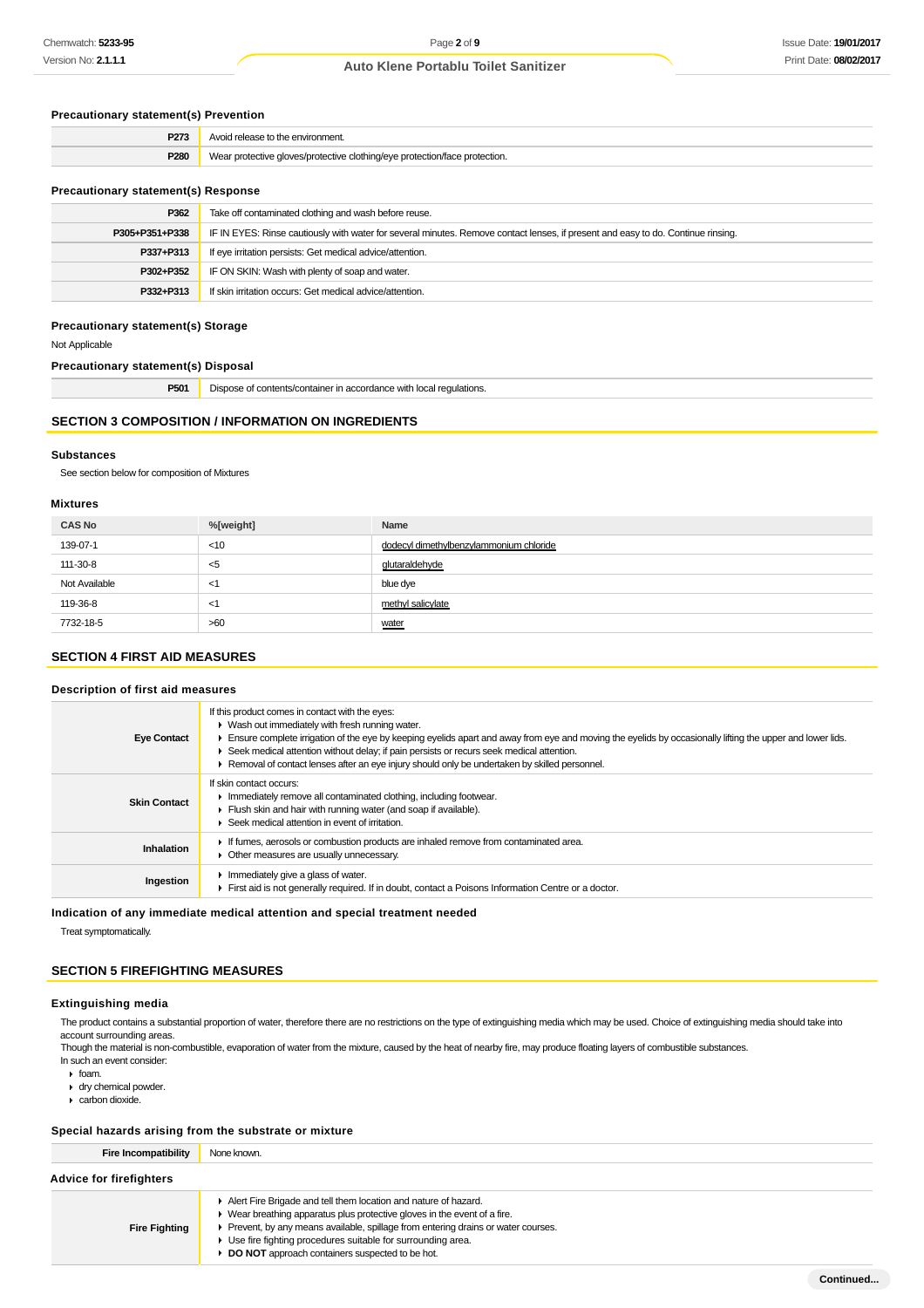## **Precautionary statement(s) Prevention**

| P273 | Avoid release to the environment.                                          |
|------|----------------------------------------------------------------------------|
| P280 | Wear protective gloves/protective clothing/eye protection/face protection. |
|      |                                                                            |

## **Precautionary statement(s) Response**

| P362           | Take off contaminated clothing and wash before reuse.                                                                            |  |
|----------------|----------------------------------------------------------------------------------------------------------------------------------|--|
| P305+P351+P338 | IF IN EYES: Rinse cautiously with water for several minutes. Remove contact lenses, if present and easy to do. Continue rinsing. |  |
| P337+P313      | If eye irritation persists: Get medical advice/attention.                                                                        |  |
| P302+P352      | IF ON SKIN: Wash with plenty of soap and water.                                                                                  |  |
| P332+P313      | If skin irritation occurs: Get medical advice/attention.                                                                         |  |

## **Precautionary statement(s) Storage**

Not Applicable

## **Precautionary statement(s) Disposal**

**P501** Dispose of contents/container in accordance with local regulations.

# **SECTION 3 COMPOSITION / INFORMATION ON INGREDIENTS**

#### **Substances**

See section below for composition of Mixtures

#### **Mixtures**

| <b>CAS No</b> | %[weight] | Name                                    |
|---------------|-----------|-----------------------------------------|
| 139-07-1      | $<$ 10    | dodecyl dimethylbenzylammonium chloride |
| 111-30-8      | $<$ 5     | qlutaraldehyde                          |
| Not Available | <1        | blue dye                                |
| 119-36-8      | <1        | methyl salicylate                       |
| 7732-18-5     | >60       | water                                   |

## **SECTION 4 FIRST AID MEASURES**

#### **Description of first aid measures**

| If this product comes in contact with the eyes:<br>• Wash out immediately with fresh running water.<br>Ensure complete irrigation of the eye by keeping eyelids apart and away from eye and moving the eyelids by occasionally lifting the upper and lower lids.<br>▶ Seek medical attention without delay; if pain persists or recurs seek medical attention.<br>► Removal of contact lenses after an eye injury should only be undertaken by skilled personnel. |
|-------------------------------------------------------------------------------------------------------------------------------------------------------------------------------------------------------------------------------------------------------------------------------------------------------------------------------------------------------------------------------------------------------------------------------------------------------------------|
| If skin contact occurs:<br>In mediately remove all contaminated clothing, including footwear.<br>Flush skin and hair with running water (and soap if available).<br>Seek medical attention in event of irritation.                                                                                                                                                                                                                                                |
| If fumes, aerosols or combustion products are inhaled remove from contaminated area.<br>Other measures are usually unnecessary.                                                                                                                                                                                                                                                                                                                                   |
| $\blacktriangleright$ Immediately give a glass of water.<br>First aid is not generally required. If in doubt, contact a Poisons Information Centre or a doctor.                                                                                                                                                                                                                                                                                                   |
|                                                                                                                                                                                                                                                                                                                                                                                                                                                                   |

#### **Indication of any immediate medical attention and special treatment needed**

Treat symptomatically.

## **SECTION 5 FIREFIGHTING MEASURES**

#### **Extinguishing media**

The product contains a substantial proportion of water, therefore there are no restrictions on the type of extinguishing media which may be used. Choice of extinguishing media should take into account surrounding areas.

Though the material is non-combustible, evaporation of water from the mixture, caused by the heat of nearby fire, may produce floating layers of combustible substances. In such an event consider:

- foam.
- dry chemical powder.
- carbon dioxide.

## **Special hazards arising from the substrate or mixture**

| Fire Incompatibility           | None known.                                                                                                                                                                                                                                                                                                                                            |  |
|--------------------------------|--------------------------------------------------------------------------------------------------------------------------------------------------------------------------------------------------------------------------------------------------------------------------------------------------------------------------------------------------------|--|
| <b>Advice for firefighters</b> |                                                                                                                                                                                                                                                                                                                                                        |  |
| <b>Fire Fighting</b>           | Alert Fire Brigade and tell them location and nature of hazard.<br>• Wear breathing apparatus plus protective gloves in the event of a fire.<br>▶ Prevent, by any means available, spillage from entering drains or water courses.<br>▶ Use fire fighting procedures suitable for surrounding area.<br>DO NOT approach containers suspected to be hot. |  |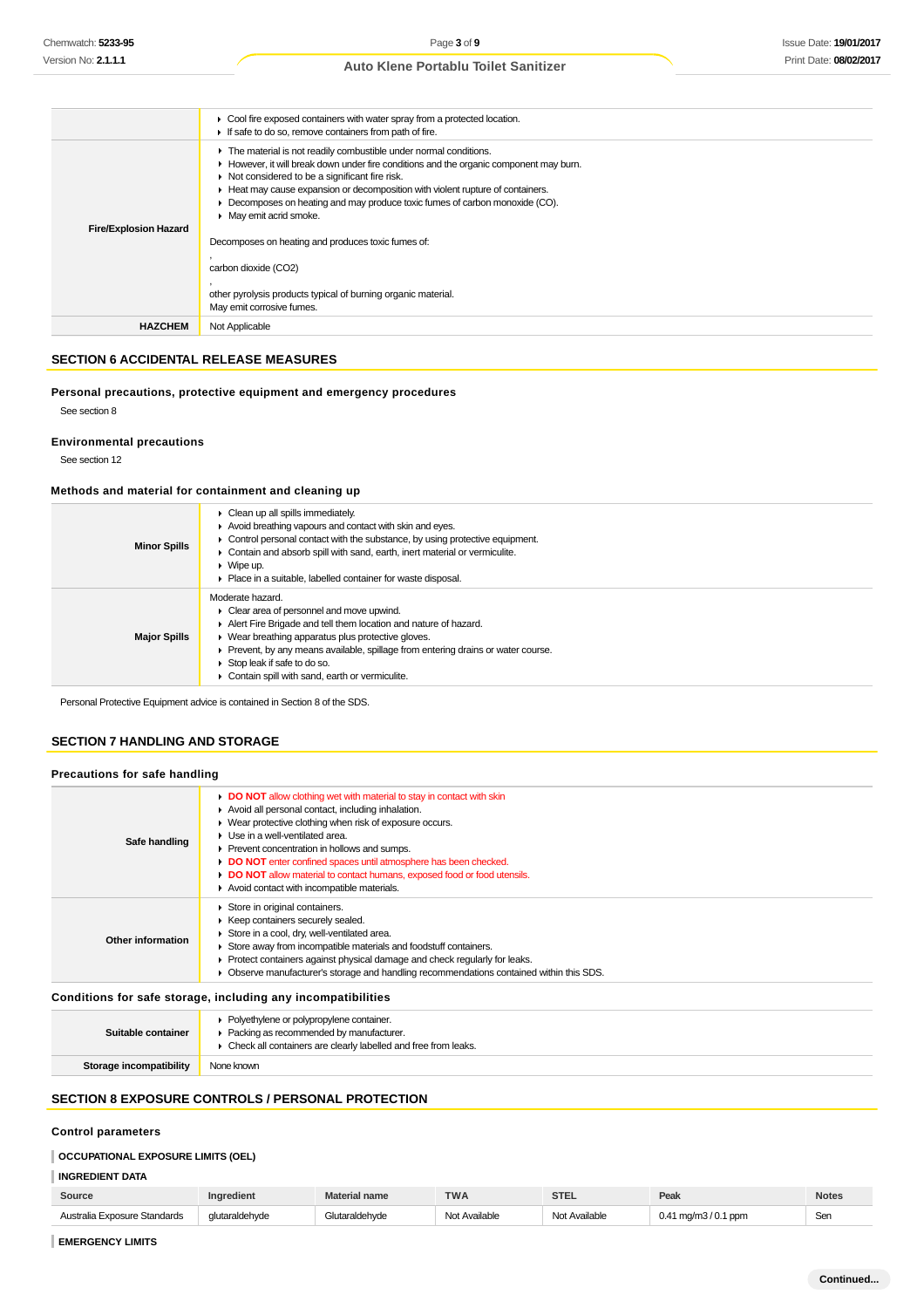|                              | • Cool fire exposed containers with water spray from a protected location.<br>If safe to do so, remove containers from path of fire.                                                                                                                                                                                                                                                                                         |
|------------------------------|------------------------------------------------------------------------------------------------------------------------------------------------------------------------------------------------------------------------------------------------------------------------------------------------------------------------------------------------------------------------------------------------------------------------------|
| <b>Fire/Explosion Hazard</b> | The material is not readily combustible under normal conditions.<br>► However, it will break down under fire conditions and the organic component may burn.<br>Not considered to be a significant fire risk.<br>Heat may cause expansion or decomposition with violent rupture of containers.<br>$\blacktriangleright$ Decomposes on heating and may produce toxic fumes of carbon monoxide (CO).<br>• May emit acrid smoke. |
|                              | Decomposes on heating and produces toxic fumes of:                                                                                                                                                                                                                                                                                                                                                                           |
|                              | carbon dioxide (CO2)                                                                                                                                                                                                                                                                                                                                                                                                         |
|                              | other pyrolysis products typical of burning organic material.                                                                                                                                                                                                                                                                                                                                                                |
|                              | May emit corrosive fumes.                                                                                                                                                                                                                                                                                                                                                                                                    |
| <b>HAZCHEM</b>               | Not Applicable                                                                                                                                                                                                                                                                                                                                                                                                               |

## **SECTION 6 ACCIDENTAL RELEASE MEASURES**

#### **Personal precautions, protective equipment and emergency procedures**

See section 8

## **Environmental precautions**

See section 12

#### **Methods and material for containment and cleaning up**

| <b>Minor Spills</b> | $\triangleright$ Clean up all spills immediately.<br>Avoid breathing vapours and contact with skin and eyes.<br>$\triangleright$ Control personal contact with the substance, by using protective equipment.<br>• Contain and absorb spill with sand, earth, inert material or vermiculite.<br>$\blacktriangleright$ Wipe up.<br>• Place in a suitable, labelled container for waste disposal. |
|---------------------|------------------------------------------------------------------------------------------------------------------------------------------------------------------------------------------------------------------------------------------------------------------------------------------------------------------------------------------------------------------------------------------------|
| <b>Major Spills</b> | Moderate hazard.<br>• Clear area of personnel and move upwind.<br>Alert Fire Brigade and tell them location and nature of hazard.<br>• Wear breathing apparatus plus protective gloves.<br>• Prevent, by any means available, spillage from entering drains or water course.<br>Stop leak if safe to do so.<br>Contain spill with sand, earth or vermiculite.                                  |

Personal Protective Equipment advice is contained in Section 8 of the SDS.

## **SECTION 7 HANDLING AND STORAGE**

#### **Precautions for safe handling**

| Safe handling     | DO NOT allow clothing wet with material to stay in contact with skin<br>Avoid all personal contact, including inhalation.<br>• Wear protective clothing when risk of exposure occurs.<br>$\blacktriangleright$ Use in a well-ventilated area.<br>▶ Prevent concentration in hollows and sumps.<br>DO NOT enter confined spaces until atmosphere has been checked.<br>• DO NOT allow material to contact humans, exposed food or food utensils.<br>Avoid contact with incompatible materials. |
|-------------------|----------------------------------------------------------------------------------------------------------------------------------------------------------------------------------------------------------------------------------------------------------------------------------------------------------------------------------------------------------------------------------------------------------------------------------------------------------------------------------------------|
| Other information | Store in original containers.<br>▶ Keep containers securely sealed.<br>Store in a cool, dry, well-ventilated area.<br>Store away from incompatible materials and foodstuff containers.<br>▶ Protect containers against physical damage and check regularly for leaks.<br>Observe manufacturer's storage and handling recommendations contained within this SDS.                                                                                                                              |

## **Conditions for safe storage, including any incompatibilities**

| Suitable container      | • Polyethylene or polypropylene container.<br>• Packing as recommended by manufacturer.<br>• Check all containers are clearly labelled and free from leaks. |
|-------------------------|-------------------------------------------------------------------------------------------------------------------------------------------------------------|
| Storage incompatibility | None known                                                                                                                                                  |

## **SECTION 8 EXPOSURE CONTROLS / PERSONAL PROTECTION**

## **Control parameters**

## **OCCUPATIONAL EXPOSURE LIMITS (OEL)**

## **INGREDIENT DATA**

| Source                       | nedien.        | <b>Material name</b> | <b>TWA</b>    | <b>STEL</b>   | Peak                                          | Notes |
|------------------------------|----------------|----------------------|---------------|---------------|-----------------------------------------------|-------|
| Australia Exposure Standards | dlutaraldehvde | utaraldehvde         | Not Available | Not Available | $0.41 \,\mathrm{mg/m}$ $3/0.1 \,\mathrm{ppm}$ | Ser   |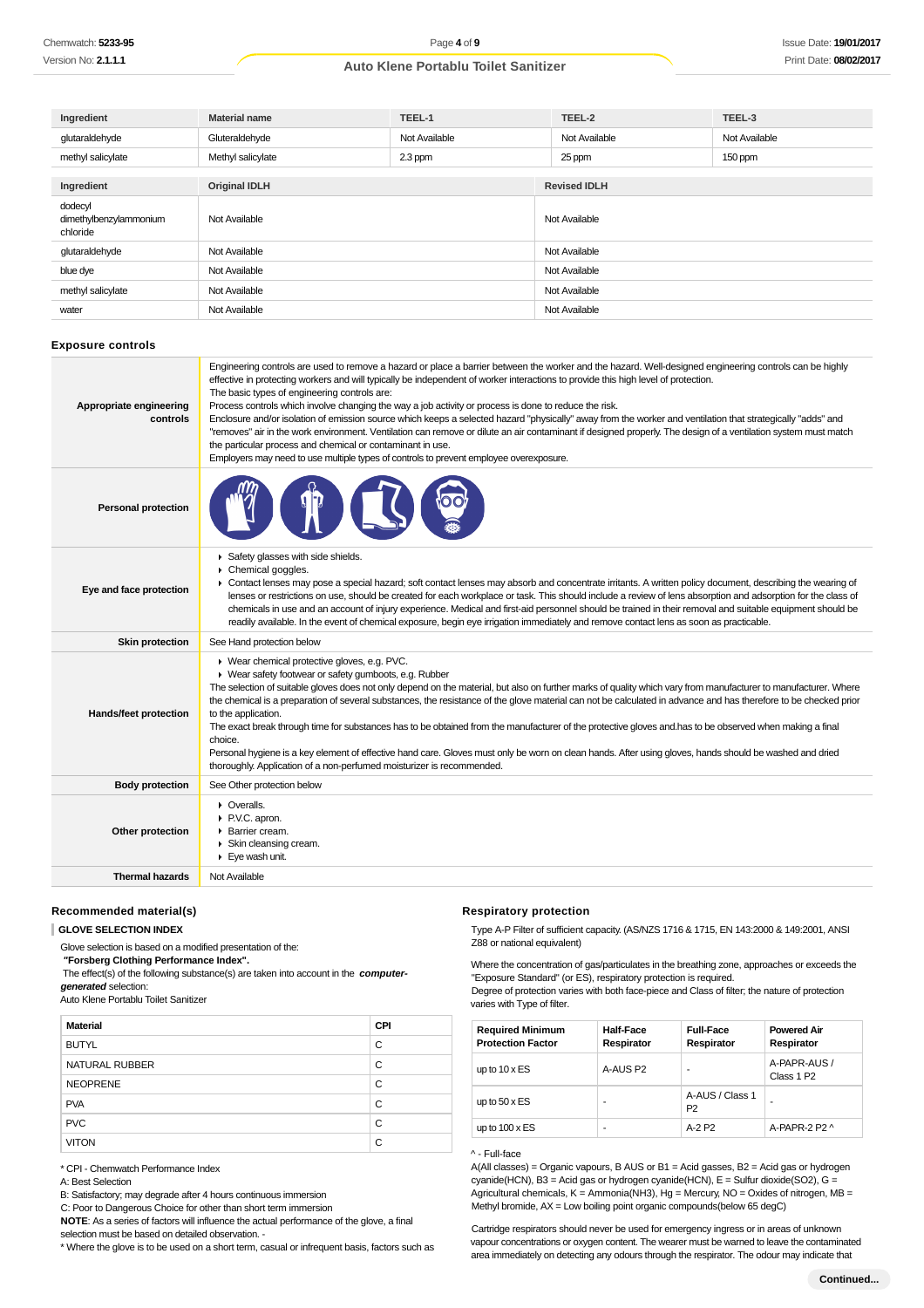| Ingredient                                    | <b>Material name</b> | TEEL-1        | TEEL-2              | TEEL-3        |
|-----------------------------------------------|----------------------|---------------|---------------------|---------------|
| glutaraldehyde                                | Gluteraldehyde       | Not Available | Not Available       | Not Available |
| methyl salicylate                             | Methyl salicylate    | 2.3 ppm       | 25 ppm              | 150 ppm       |
|                                               |                      |               |                     |               |
| Ingredient                                    | <b>Original IDLH</b> |               | <b>Revised IDLH</b> |               |
| dodecyl<br>dimethylbenzylammonium<br>chloride | Not Available        |               | Not Available       |               |
| glutaraldehyde                                | Not Available        |               | Not Available       |               |
| blue dye                                      | Not Available        |               | Not Available       |               |
| methyl salicylate                             | Not Available        |               | Not Available       |               |
| water                                         | Not Available        |               | Not Available       |               |

#### **Exposure controls**

| Appropriate engineering<br>controls | Engineering controls are used to remove a hazard or place a barrier between the worker and the hazard. Well-designed engineering controls can be highly<br>effective in protecting workers and will typically be independent of worker interactions to provide this high level of protection.<br>The basic types of engineering controls are:<br>Process controls which involve changing the way a job activity or process is done to reduce the risk.<br>Enclosure and/or isolation of emission source which keeps a selected hazard "physically" away from the worker and ventilation that strategically "adds" and<br>"removes" air in the work environment. Ventilation can remove or dilute an air contaminant if designed properly. The design of a ventilation system must match<br>the particular process and chemical or contaminant in use.<br>Employers may need to use multiple types of controls to prevent employee overexposure. |
|-------------------------------------|-------------------------------------------------------------------------------------------------------------------------------------------------------------------------------------------------------------------------------------------------------------------------------------------------------------------------------------------------------------------------------------------------------------------------------------------------------------------------------------------------------------------------------------------------------------------------------------------------------------------------------------------------------------------------------------------------------------------------------------------------------------------------------------------------------------------------------------------------------------------------------------------------------------------------------------------------|
| <b>Personal protection</b>          |                                                                                                                                                                                                                                                                                                                                                                                                                                                                                                                                                                                                                                                                                                                                                                                                                                                                                                                                                 |
| Eye and face protection             | Safety glasses with side shields.<br>Chemical goggles.<br>► Contact lenses may pose a special hazard; soft contact lenses may absorb and concentrate irritants. A written policy document, describing the wearing of<br>lenses or restrictions on use, should be created for each workplace or task. This should include a review of lens absorption and adsorption for the class of<br>chemicals in use and an account of injury experience. Medical and first-aid personnel should be trained in their removal and suitable equipment should be<br>readily available. In the event of chemical exposure, begin eye irrigation immediately and remove contact lens as soon as practicable.                                                                                                                                                                                                                                                     |
| <b>Skin protection</b>              | See Hand protection below                                                                                                                                                                                                                                                                                                                                                                                                                                                                                                                                                                                                                                                                                                                                                                                                                                                                                                                       |
| Hands/feet protection               | ▶ Wear chemical protective gloves, e.g. PVC.<br>▶ Wear safety footwear or safety gumboots, e.g. Rubber<br>The selection of suitable gloves does not only depend on the material, but also on further marks of quality which vary from manufacturer to manufacturer. Where<br>the chemical is a preparation of several substances, the resistance of the glove material can not be calculated in advance and has therefore to be checked prior<br>to the application.<br>The exact break through time for substances has to be obtained from the manufacturer of the protective gloves and has to be observed when making a final<br>choice.<br>Personal hygiene is a key element of effective hand care. Gloves must only be worn on clean hands. After using gloves, hands should be washed and dried<br>thoroughly. Application of a non-perfumed moisturizer is recommended.                                                                 |
| <b>Body protection</b>              | See Other protection below                                                                                                                                                                                                                                                                                                                                                                                                                                                                                                                                                                                                                                                                                                                                                                                                                                                                                                                      |
| Other protection                    | • Overalls.<br>P.V.C. apron.<br>▶ Barrier cream.<br>Skin cleansing cream.<br>$\blacktriangleright$ Eye wash unit.                                                                                                                                                                                                                                                                                                                                                                                                                                                                                                                                                                                                                                                                                                                                                                                                                               |
| <b>Thermal hazards</b>              | Not Available                                                                                                                                                                                                                                                                                                                                                                                                                                                                                                                                                                                                                                                                                                                                                                                                                                                                                                                                   |

#### **Recommended material(s)**

#### **GLOVE SELECTION INDEX**

Glove selection is based on a modified presentation of the:

 **"Forsberg Clothing Performance Index".**

 The effect(s) of the following substance(s) are taken into account in the **computergenerated** selection: Auto Klene Portablu Toilet Sanitizer

| <b>Material</b> | <b>CPI</b> |
|-----------------|------------|
| <b>BUTYL</b>    | C          |
| NATURAL RUBBER  | C          |
| <b>NEOPRENE</b> | C          |
| <b>PVA</b>      | C          |
| <b>PVC</b>      | C          |
| <b>VITON</b>    | C          |

\* CPI - Chemwatch Performance Index

A: Best Selection

B: Satisfactory; may degrade after 4 hours continuous immersion

C: Poor to Dangerous Choice for other than short term immersion

**NOTE**: As a series of factors will influence the actual performance of the glove, a final

selection must be based on detailed observation. -

\* Where the glove is to be used on a short term, casual or infrequent basis, factors such as

#### **Respiratory protection**

Type A-P Filter of sufficient capacity. (AS/NZS 1716 & 1715, EN 143:2000 & 149:2001, ANSI Z88 or national equivalent)

Where the concentration of gas/particulates in the breathing zone, approaches or exceeds the "Exposure Standard" (or ES), respiratory protection is required. Degree of protection varies with both face-piece and Class of filter; the nature of protection varies with Type of filter.

| <b>Required Minimum</b><br><b>Protection Factor</b> | <b>Half-Face</b><br>Respirator | <b>Full-Face</b><br>Respirator    | <b>Powered Air</b><br>Respirator       |
|-----------------------------------------------------|--------------------------------|-----------------------------------|----------------------------------------|
| up to $10 \times ES$                                | A-AUS P2                       |                                   | A-PAPR-AUS /<br>Class 1 P <sub>2</sub> |
| up to $50 \times ES$                                | ۰                              | A-AUS / Class 1<br>P <sub>2</sub> | ۰                                      |
| up to $100 \times ES$                               | ۰                              | A-2 P <sub>2</sub>                | A-PAPR-2 P2 $\land$                    |

#### ^ - Full-face

A(All classes) = Organic vapours, B AUS or B1 = Acid gasses, B2 = Acid gas or hydrogen cyanide(HCN), B3 = Acid gas or hydrogen cyanide(HCN), E = Sulfur dioxide(SO2), G = Agricultural chemicals, K = Ammonia(NH3), Hg = Mercury, NO = Oxides of nitrogen, MB = Methyl bromide, AX = Low boiling point organic compounds(below 65 degC)

Cartridge respirators should never be used for emergency ingress or in areas of unknown vapour concentrations or oxygen content. The wearer must be warned to leave the contaminated area immediately on detecting any odours through the respirator. The odour may indicate that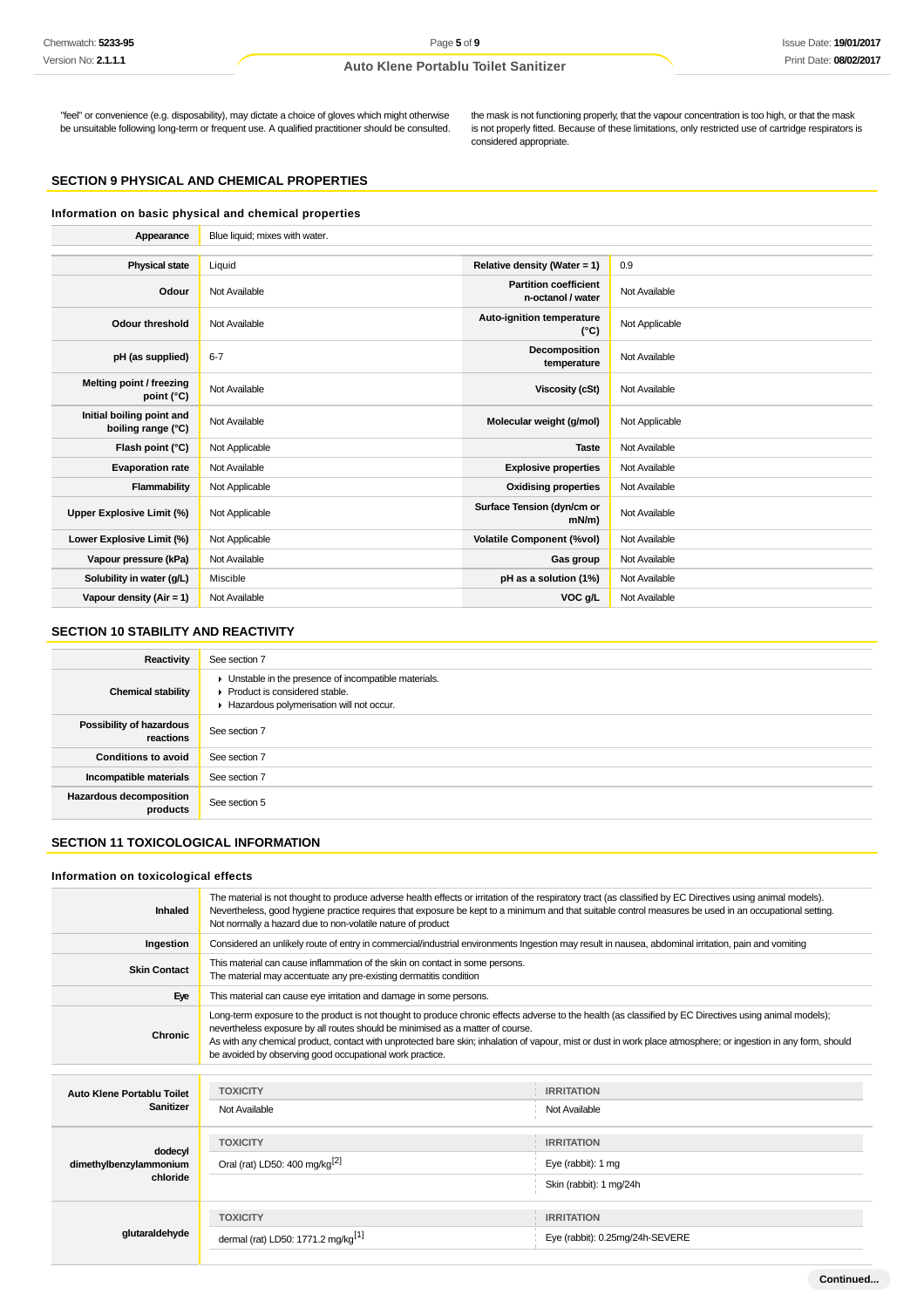"feel" or convenience (e.g. disposability), may dictate a choice of gloves which might otherwise be unsuitable following long-term or frequent use. A qualified practitioner should be consulted.

the mask is not functioning properly, that the vapour concentration is too high, or that the mask is not properly fitted. Because of these limitations, only restricted use of cartridge respirators is considered appropriate.

## **SECTION 9 PHYSICAL AND CHEMICAL PROPERTIES**

| Information on basic physical and chemical properties |                                |                                                   |                |
|-------------------------------------------------------|--------------------------------|---------------------------------------------------|----------------|
| Appearance                                            | Blue liquid; mixes with water. |                                                   |                |
|                                                       |                                |                                                   |                |
| <b>Physical state</b>                                 | Liquid                         | Relative density (Water = $1$ )                   | 0.9            |
| Odour                                                 | Not Available                  | <b>Partition coefficient</b><br>n-octanol / water | Not Available  |
| <b>Odour threshold</b>                                | Not Available                  | <b>Auto-ignition temperature</b><br>$(^{\circ}C)$ | Not Applicable |
| pH (as supplied)                                      | $6 - 7$                        | Decomposition<br>temperature                      | Not Available  |
| Melting point / freezing<br>point (°C)                | Not Available                  | <b>Viscosity (cSt)</b>                            | Not Available  |
| Initial boiling point and<br>boiling range (°C)       | Not Available                  | Molecular weight (g/mol)                          | Not Applicable |
| Flash point (°C)                                      | Not Applicable                 | <b>Taste</b>                                      | Not Available  |
| <b>Evaporation rate</b>                               | Not Available                  | <b>Explosive properties</b>                       | Not Available  |
| Flammability                                          | Not Applicable                 | <b>Oxidising properties</b>                       | Not Available  |
| Upper Explosive Limit (%)                             | Not Applicable                 | Surface Tension (dyn/cm or<br>$mN/m$ )            | Not Available  |
| Lower Explosive Limit (%)                             | Not Applicable                 | <b>Volatile Component (%vol)</b>                  | Not Available  |
| Vapour pressure (kPa)                                 | Not Available                  | Gas group                                         | Not Available  |
| Solubility in water (g/L)                             | Miscible                       | pH as a solution (1%)                             | Not Available  |
| Vapour density (Air = 1)                              | Not Available                  | VOC g/L                                           | Not Available  |

#### **SECTION 10 STABILITY AND REACTIVITY**

| Reactivity                                 | See section 7                                                                                                                                            |
|--------------------------------------------|----------------------------------------------------------------------------------------------------------------------------------------------------------|
| <b>Chemical stability</b>                  | • Unstable in the presence of incompatible materials.<br>$\blacktriangleright$ Product is considered stable.<br>Hazardous polymerisation will not occur. |
| Possibility of hazardous<br>reactions      | See section 7                                                                                                                                            |
| <b>Conditions to avoid</b>                 | See section 7                                                                                                                                            |
| Incompatible materials                     | See section 7                                                                                                                                            |
| <b>Hazardous decomposition</b><br>products | See section 5                                                                                                                                            |

## **SECTION 11 TOXICOLOGICAL INFORMATION**

#### **Information on toxicological effects**

| Inhaled                           | The material is not thought to produce adverse health effects or irritation of the respiratory tract (as classified by EC Directives using animal models).<br>Nevertheless, good hygiene practice requires that exposure be kept to a minimum and that suitable control measures be used in an occupational setting.<br>Not normally a hazard due to non-volatile nature of product                                                                                      |                                 |  |
|-----------------------------------|--------------------------------------------------------------------------------------------------------------------------------------------------------------------------------------------------------------------------------------------------------------------------------------------------------------------------------------------------------------------------------------------------------------------------------------------------------------------------|---------------------------------|--|
| Ingestion                         | Considered an unlikely route of entry in commercial/industrial environments Ingestion may result in nausea, abdominal irritation, pain and vomiting                                                                                                                                                                                                                                                                                                                      |                                 |  |
| <b>Skin Contact</b>               | This material can cause inflammation of the skin on contact in some persons.<br>The material may accentuate any pre-existing dermatitis condition                                                                                                                                                                                                                                                                                                                        |                                 |  |
| Eye                               | This material can cause eye irritation and damage in some persons.                                                                                                                                                                                                                                                                                                                                                                                                       |                                 |  |
| Chronic                           | Long-term exposure to the product is not thought to produce chronic effects adverse to the health (as classified by EC Directives using animal models);<br>nevertheless exposure by all routes should be minimised as a matter of course.<br>As with any chemical product, contact with unprotected bare skin; inhalation of vapour, mist or dust in work place atmosphere; or ingestion in any form, should<br>be avoided by observing good occupational work practice. |                                 |  |
|                                   |                                                                                                                                                                                                                                                                                                                                                                                                                                                                          |                                 |  |
| Auto Klene Portablu Toilet        | <b>TOXICITY</b>                                                                                                                                                                                                                                                                                                                                                                                                                                                          | <b>IRRITATION</b>               |  |
| <b>Sanitizer</b>                  | Not Available                                                                                                                                                                                                                                                                                                                                                                                                                                                            | Not Available                   |  |
|                                   | <b>TOXICITY</b>                                                                                                                                                                                                                                                                                                                                                                                                                                                          | <b>IRRITATION</b>               |  |
| dodecyl<br>dimethylbenzylammonium | Oral (rat) LD50: 400 mg/kg <sup>[2]</sup>                                                                                                                                                                                                                                                                                                                                                                                                                                | Eye (rabbit): 1 mg              |  |
| chloride                          |                                                                                                                                                                                                                                                                                                                                                                                                                                                                          | Skin (rabbit): 1 mg/24h         |  |
|                                   | <b>TOXICITY</b>                                                                                                                                                                                                                                                                                                                                                                                                                                                          | <b>IRRITATION</b>               |  |
| glutaraldehyde                    | dermal (rat) LD50: 1771.2 mg/kg <sup>[1]</sup>                                                                                                                                                                                                                                                                                                                                                                                                                           | Eye (rabbit): 0.25mg/24h-SEVERE |  |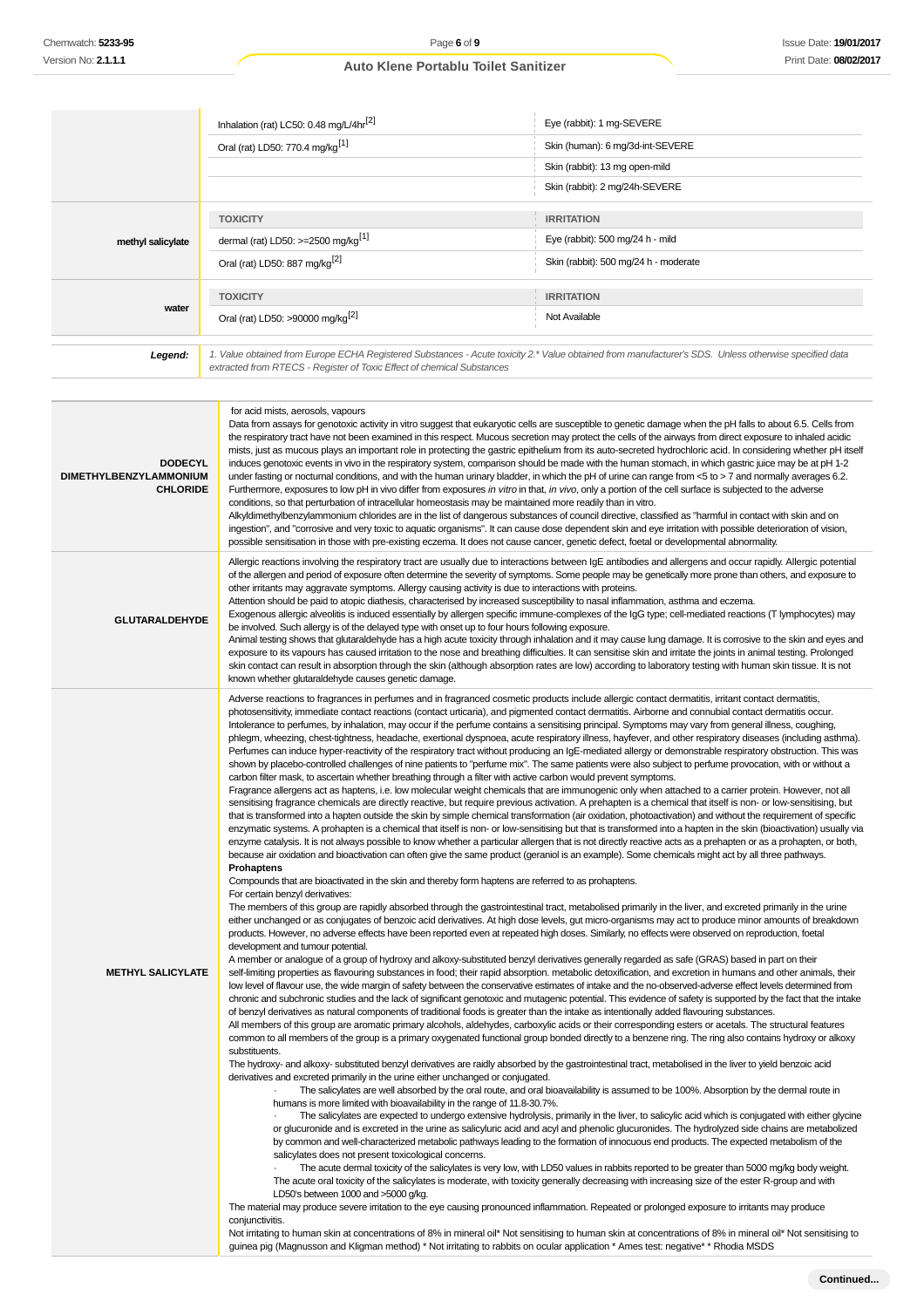|                   | Inhalation (rat) LC50: 0.48 mg/L/4hr <sup>[2]</sup>                                                                                                                                                                             | Eye (rabbit): 1 mg-SEVERE             |  |
|-------------------|---------------------------------------------------------------------------------------------------------------------------------------------------------------------------------------------------------------------------------|---------------------------------------|--|
|                   | Oral (rat) LD50: 770.4 mg/kg <sup>[1]</sup>                                                                                                                                                                                     | Skin (human): 6 mg/3d-int-SEVERE      |  |
|                   |                                                                                                                                                                                                                                 | Skin (rabbit): 13 mg open-mild        |  |
|                   |                                                                                                                                                                                                                                 | Skin (rabbit): 2 mg/24h-SEVERE        |  |
|                   | <b>TOXICITY</b>                                                                                                                                                                                                                 | <b>IRRITATION</b>                     |  |
| methyl salicylate | dermal (rat) LD50: $>=$ 2500 mg/kg <sup>[1]</sup>                                                                                                                                                                               | Eye (rabbit): 500 mg/24 h - mild      |  |
|                   | Oral (rat) LD50: 887 mg/kg <sup>[2]</sup>                                                                                                                                                                                       | Skin (rabbit): 500 mg/24 h - moderate |  |
|                   | <b>TOXICITY</b>                                                                                                                                                                                                                 | <b>IRRITATION</b>                     |  |
| water             | Oral (rat) LD50: >90000 mg/kg <sup>[2]</sup>                                                                                                                                                                                    | Not Available                         |  |
|                   |                                                                                                                                                                                                                                 |                                       |  |
| Legend:           | 1. Value obtained from Europe ECHA Registered Substances - Acute toxicity 2.* Value obtained from manufacturer's SDS. Unless otherwise specified data<br>extracted from RTECS - Register of Toxic Effect of chemical Substances |                                       |  |

| <b>DODECYL</b><br>DIMETHYLBENZYLAMMONIUM<br><b>CHLORIDE</b> | for acid mists, aerosols, vapours<br>Data from assays for genotoxic activity in vitro suggest that eukaryotic cells are susceptible to genetic damage when the pH falls to about 6.5. Cells from<br>the respiratory tract have not been examined in this respect. Mucous secretion may protect the cells of the airways from direct exposure to inhaled acidic<br>mists, just as mucous plays an important role in protecting the gastric epithelium from its auto-secreted hydrochloric acid. In considering whether pH itself<br>induces genotoxic events in vivo in the respiratory system, comparison should be made with the human stomach, in which gastric juice may be at pH 1-2<br>under fasting or nocturnal conditions, and with the human urinary bladder, in which the pH of urine can range from <5 to > 7 and normally averages 6.2.<br>Furthermore, exposures to low pH in vivo differ from exposures in vitro in that, in vivo, only a portion of the cell surface is subjected to the adverse<br>conditions, so that perturbation of intracellular homeostasis may be maintained more readily than in vitro.<br>Alkyldimethylbenzylammonium chlorides are in the list of dangerous substances of council directive, classified as "harmful in contact with skin and on<br>ingestion", and "corrosive and very toxic to aquatic organisms". It can cause dose dependent skin and eye irritation with possible deterioration of vision,<br>possible sensitisation in those with pre-existing eczema. It does not cause cancer, genetic defect, foetal or developmental abnormality.                                                                                                                                                                                                                                                                                                                                                                                                                                                                                                                                                                                                                                                                                                                                                                                                                                                                                                                                                                                                                                                                                                                                                                                                                                                                                                                                                                                                                                                                                                                                                                                                                                                                                                                                                                                                                                                                                                                                                                                                                                                                                                                                                                                                                                                                                                                                                                                                                                                                                                                                                                                                                                                                                                                                                                                                                                                                                                                                                                                                                                                                                                                                                                                                                                                                                                                                                                                                                                                                                                                                                                                                                                                                                                                                                                                                                                                                                                                                                                                                                                                                                |
|-------------------------------------------------------------|------------------------------------------------------------------------------------------------------------------------------------------------------------------------------------------------------------------------------------------------------------------------------------------------------------------------------------------------------------------------------------------------------------------------------------------------------------------------------------------------------------------------------------------------------------------------------------------------------------------------------------------------------------------------------------------------------------------------------------------------------------------------------------------------------------------------------------------------------------------------------------------------------------------------------------------------------------------------------------------------------------------------------------------------------------------------------------------------------------------------------------------------------------------------------------------------------------------------------------------------------------------------------------------------------------------------------------------------------------------------------------------------------------------------------------------------------------------------------------------------------------------------------------------------------------------------------------------------------------------------------------------------------------------------------------------------------------------------------------------------------------------------------------------------------------------------------------------------------------------------------------------------------------------------------------------------------------------------------------------------------------------------------------------------------------------------------------------------------------------------------------------------------------------------------------------------------------------------------------------------------------------------------------------------------------------------------------------------------------------------------------------------------------------------------------------------------------------------------------------------------------------------------------------------------------------------------------------------------------------------------------------------------------------------------------------------------------------------------------------------------------------------------------------------------------------------------------------------------------------------------------------------------------------------------------------------------------------------------------------------------------------------------------------------------------------------------------------------------------------------------------------------------------------------------------------------------------------------------------------------------------------------------------------------------------------------------------------------------------------------------------------------------------------------------------------------------------------------------------------------------------------------------------------------------------------------------------------------------------------------------------------------------------------------------------------------------------------------------------------------------------------------------------------------------------------------------------------------------------------------------------------------------------------------------------------------------------------------------------------------------------------------------------------------------------------------------------------------------------------------------------------------------------------------------------------------------------------------------------------------------------------------------------------------------------------------------------------------------------------------------------------------------------------------------------------------------------------------------------------------------------------------------------------------------------------------------------------------------------------------------------------------------------------------------------------------------------------------------------------------------------------------------------------------------------------------------------------------------------------------------------------------------------------------------------------------------------------------------------------------------------------------------------------------------------------------------------------------------------------------------------------------------------------------------------------------------------------------------------------------------------------------------------------------------------------------------------------------------------------------------------------------------------------------------------------------------------------------------------------------------------------------------------------------------------------------------------------------------------------------------------------------------------------------------------|
| <b>GLUTARALDEHYDE</b>                                       | Allergic reactions involving the respiratory tract are usually due to interactions between IgE antibodies and allergens and occur rapidly. Allergic potential<br>of the allergen and period of exposure often determine the severity of symptoms. Some people may be genetically more prone than others, and exposure to<br>other irritants may aggravate symptoms. Allergy causing activity is due to interactions with proteins.<br>Attention should be paid to atopic diathesis, characterised by increased susceptibility to nasal inflammation, asthma and eczema.<br>Exogenous allergic alveolitis is induced essentially by allergen specific immune-complexes of the IgG type; cell-mediated reactions (T lymphocytes) may<br>be involved. Such allergy is of the delayed type with onset up to four hours following exposure.<br>Animal testing shows that glutaraldehyde has a high acute toxicity through inhalation and it may cause lung damage. It is corrosive to the skin and eyes and<br>exposure to its vapours has caused irritation to the nose and breathing difficulties. It can sensitise skin and irritate the joints in animal testing. Prolonged<br>skin contact can result in absorption through the skin (although absorption rates are low) according to laboratory testing with human skin tissue. It is not<br>known whether glutaraldehyde causes genetic damage.                                                                                                                                                                                                                                                                                                                                                                                                                                                                                                                                                                                                                                                                                                                                                                                                                                                                                                                                                                                                                                                                                                                                                                                                                                                                                                                                                                                                                                                                                                                                                                                                                                                                                                                                                                                                                                                                                                                                                                                                                                                                                                                                                                                                                                                                                                                                                                                                                                                                                                                                                                                                                                                                                                                                                                                                                                                                                                                                                                                                                                                                                                                                                                                                                                                                                                                                                                                                                                                                                                                                                                                                                                                                                                                                                                                                                                                                                                                                                                                                                                                                                                                                                                                                                                                                                  |
| <b>METHYL SALICYLATE</b>                                    | Adverse reactions to fragrances in perfumes and in fragranced cosmetic products include allergic contact dermatitis, irritant contact dermatitis,<br>photosensitivity, immediate contact reactions (contact urticaria), and pigmented contact dermatitis. Airborne and connubial contact dermatitis occur.<br>Intolerance to perfumes, by inhalation, may occur if the perfume contains a sensitising principal. Symptoms may vary from general illness, coughing,<br>phlegm, wheezing, chest-tightness, headache, exertional dyspnoea, acute respiratory illness, hayfever, and other respiratory diseases (including asthma).<br>Perfumes can induce hyper-reactivity of the respiratory tract without producing an IgE-mediated allergy or demonstrable respiratory obstruction. This was<br>shown by placebo-controlled challenges of nine patients to "perfume mix". The same patients were also subject to perfume provocation, with or without a<br>carbon filter mask, to ascertain whether breathing through a filter with active carbon would prevent symptoms.<br>Fragrance allergens act as haptens, i.e. low molecular weight chemicals that are immunogenic only when attached to a carrier protein. However, not all<br>sensitising fragrance chemicals are directly reactive, but require previous activation. A prehapten is a chemical that itself is non- or low-sensitising, but<br>that is transformed into a hapten outside the skin by simple chemical transformation (air oxidation, photoactivation) and without the requirement of specific<br>enzymatic systems. A prohapten is a chemical that itself is non- or low-sensitising but that is transformed into a hapten in the skin (bioactivation) usually via<br>enzyme catalysis. It is not always possible to know whether a particular allergen that is not directly reactive acts as a prehapten or as a prohapten, or both,<br>because air oxidation and bioactivation can often give the same product (geraniol is an example). Some chemicals might act by all three pathways.<br><b>Prohaptens</b><br>Compounds that are bioactivated in the skin and thereby form haptens are referred to as prohaptens.<br>For certain benzyl derivatives:<br>The members of this group are rapidly absorbed through the gastrointestinal tract, metabolised primarily in the liver, and excreted primarily in the urine<br>either unchanged or as conjugates of benzoic acid derivatives. At high dose levels, gut micro-organisms may act to produce minor amounts of breakdown<br>products. However, no adverse effects have been reported even at repeated high doses. Similarly, no effects were observed on reproduction, foetal<br>development and tumour potential.<br>A member or analogue of a group of hydroxy and alkoxy-substituted benzyl derivatives generally regarded as safe (GRAS) based in part on their<br>self-limiting properties as flavouring substances in food; their rapid absorption. metabolic detoxification, and excretion in humans and other animals, their<br>low level of flavour use, the wide margin of safety between the conservative estimates of intake and the no-observed-adverse effect levels determined from<br>chronic and subchronic studies and the lack of significant genotoxic and mutagenic potential. This evidence of safety is supported by the fact that the intake<br>of benzyl derivatives as natural components of traditional foods is greater than the intake as intentionally added flavouring substances.<br>All members of this group are aromatic primary alcohols, aldehydes, carboxylic acids or their corresponding esters or acetals. The structural features<br>common to all members of the group is a primary oxygenated functional group bonded directly to a benzene ring. The ring also contains hydroxy or alkoxy<br>substituents.<br>The hydroxy- and alkoxy- substituted benzyl derivatives are raidly absorbed by the gastrointestinal tract, metabolised in the liver to yield benzoic acid<br>derivatives and excreted primarily in the urine either unchanged or conjugated.<br>The salicylates are well absorbed by the oral route, and oral bioavailability is assumed to be 100%. Absorption by the dermal route in<br>humans is more limited with bioavailability in the range of 11.8-30.7%.<br>The salicylates are expected to undergo extensive hydrolysis, primarily in the liver, to salicylic acid which is conjugated with either glycine<br>or glucuronide and is excreted in the urine as salicyluric acid and acyl and phenolic glucuronides. The hydrolyzed side chains are metabolized<br>by common and well-characterized metabolic pathways leading to the formation of innocuous end products. The expected metabolism of the<br>salicylates does not present toxicological concerns.<br>The acute dermal toxicity of the salicylates is very low, with LD50 values in rabbits reported to be greater than 5000 mg/kg body weight.<br>The acute oral toxicity of the salicylates is moderate, with toxicity generally decreasing with increasing size of the ester R-group and with<br>LD50's between 1000 and >5000 g/kg.<br>The material may produce severe irritation to the eye causing pronounced inflammation. Repeated or prolonged exposure to irritants may produce<br>conjunctivitis.<br>Not irritating to human skin at concentrations of 8% in mineral oil* Not sensitising to human skin at concentrations of 8% in mineral oil* Not sensitising to<br>guinea pig (Magnusson and Kligman method) * Not irritating to rabbits on ocular application * Ames test: negative* * Rhodia MSDS |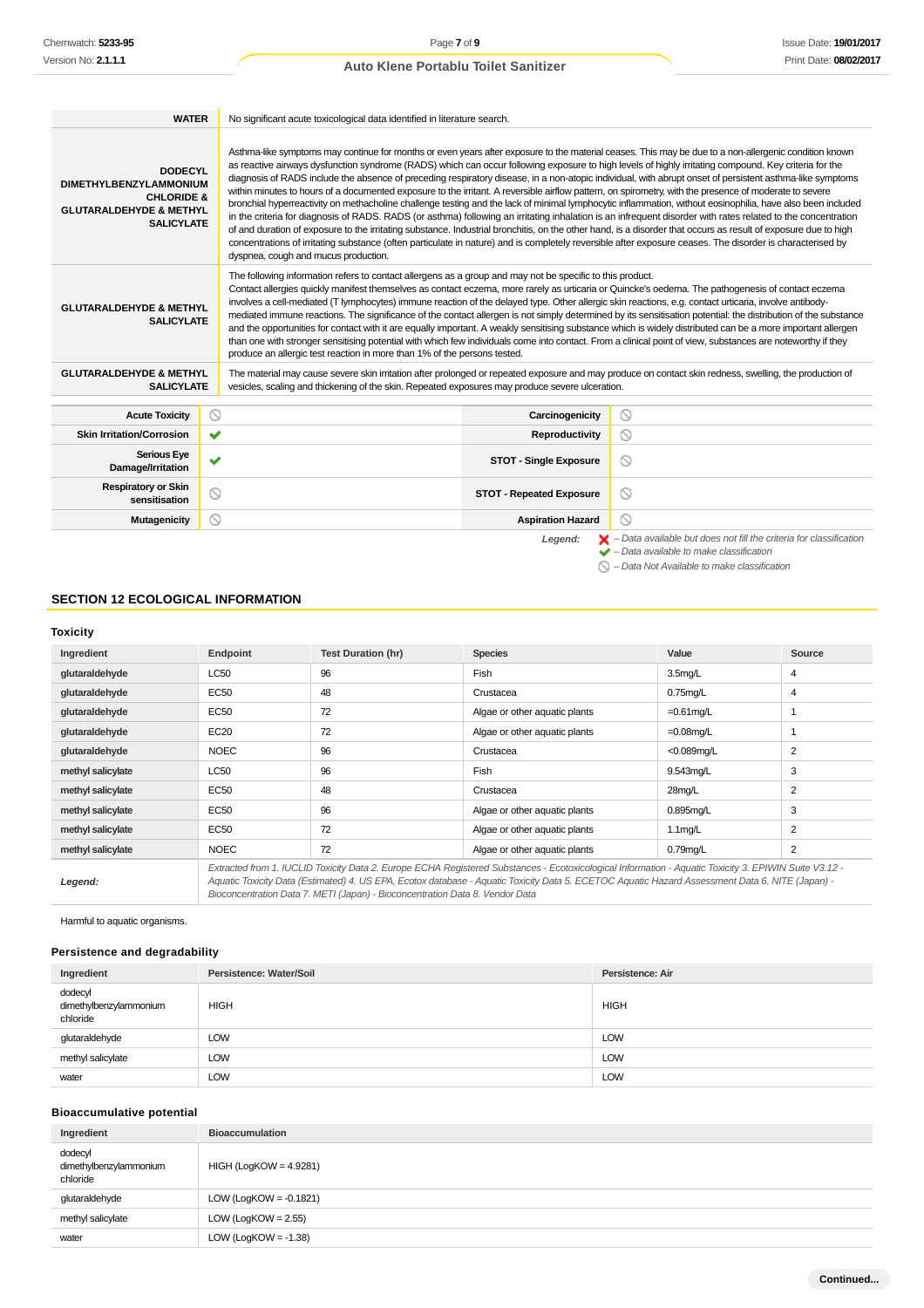| <b>WATER</b>                                                                                                                        | No significant acute toxicological data identified in literature search.                                                                                                                                                                                                                                                                                                                                                                                                                                                                                                                                                                                                                                                                                                                                                                                                                                                                                                                                                                                                                                                                                                                                                                                                                                                                   |                     |  |
|-------------------------------------------------------------------------------------------------------------------------------------|--------------------------------------------------------------------------------------------------------------------------------------------------------------------------------------------------------------------------------------------------------------------------------------------------------------------------------------------------------------------------------------------------------------------------------------------------------------------------------------------------------------------------------------------------------------------------------------------------------------------------------------------------------------------------------------------------------------------------------------------------------------------------------------------------------------------------------------------------------------------------------------------------------------------------------------------------------------------------------------------------------------------------------------------------------------------------------------------------------------------------------------------------------------------------------------------------------------------------------------------------------------------------------------------------------------------------------------------|---------------------|--|
| <b>DODECYL</b><br><b>DIMETHYLBENZYLAMMONIUM</b><br><b>CHLORIDE &amp;</b><br><b>GLUTARALDEHYDE &amp; METHYL</b><br><b>SALICYLATE</b> | Asthma-like symptoms may continue for months or even years after exposure to the material ceases. This may be due to a non-allergenic condition known<br>as reactive airways dysfunction syndrome (RADS) which can occur following exposure to high levels of highly irritating compound. Key criteria for the<br>diagnosis of RADS include the absence of preceding respiratory disease, in a non-atopic individual, with abrupt onset of persistent asthma-like symptoms<br>within minutes to hours of a documented exposure to the irritant. A reversible airflow pattern, on spirometry, with the presence of moderate to severe<br>bronchial hyperreactivity on methacholine challenge testing and the lack of minimal lymphocytic inflammation, without eosinophilia, have also been included<br>in the criteria for diagnosis of RADS. RADS (or asthma) following an irritating inhalation is an infrequent disorder with rates related to the concentration<br>of and duration of exposure to the irritating substance. Industrial bronchitis, on the other hand, is a disorder that occurs as result of exposure due to high<br>concentrations of irritating substance (often particulate in nature) and is completely reversible after exposure ceases. The disorder is characterised by<br>dyspnea, cough and mucus production. |                     |  |
| <b>GLUTARALDEHYDE &amp; METHYL</b><br><b>SALICYLATE</b>                                                                             | The following information refers to contact allergens as a group and may not be specific to this product.<br>Contact allergies quickly manifest themselves as contact eczema, more rarely as urticaria or Quincke's oedema. The pathogenesis of contact eczema<br>involves a cell-mediated (T lymphocytes) immune reaction of the delayed type. Other allergic skin reactions, e.g. contact urticaria, involve antibody-<br>mediated immune reactions. The significance of the contact allergen is not simply determined by its sensitisation potential: the distribution of the substance<br>and the opportunities for contact with it are equally important. A weakly sensitising substance which is widely distributed can be a more important allergen<br>than one with stronger sensitising potential with which few individuals come into contact. From a clinical point of view, substances are noteworthy if they<br>produce an allergic test reaction in more than 1% of the persons tested.                                                                                                                                                                                                                                                                                                                                      |                     |  |
| <b>GLUTARALDEHYDE &amp; METHYL</b><br><b>SALICYLATE</b>                                                                             | The material may cause severe skin irritation after prolonged or repeated exposure and may produce on contact skin redness, swelling, the production of<br>vesicles, scaling and thickening of the skin. Repeated exposures may produce severe ulceration.                                                                                                                                                                                                                                                                                                                                                                                                                                                                                                                                                                                                                                                                                                                                                                                                                                                                                                                                                                                                                                                                                 |                     |  |
| <b>Acute Toxicity</b>                                                                                                               | ல<br>Carcinogenicity                                                                                                                                                                                                                                                                                                                                                                                                                                                                                                                                                                                                                                                                                                                                                                                                                                                                                                                                                                                                                                                                                                                                                                                                                                                                                                                       | ◎                   |  |
| <b>Skin Irritation/Corrosion</b>                                                                                                    | ✔<br>Reproductivity                                                                                                                                                                                                                                                                                                                                                                                                                                                                                                                                                                                                                                                                                                                                                                                                                                                                                                                                                                                                                                                                                                                                                                                                                                                                                                                        | ◎                   |  |
| <b>Serious Eye</b><br>Damage/Irritation                                                                                             | ✔<br><b>STOT - Single Exposure</b>                                                                                                                                                                                                                                                                                                                                                                                                                                                                                                                                                                                                                                                                                                                                                                                                                                                                                                                                                                                                                                                                                                                                                                                                                                                                                                         | O                   |  |
| <b>Respiratory or Skin</b><br>sensitisation                                                                                         | Q<br><b>STOT - Repeated Exposure</b>                                                                                                                                                                                                                                                                                                                                                                                                                                                                                                                                                                                                                                                                                                                                                                                                                                                                                                                                                                                                                                                                                                                                                                                                                                                                                                       | $\circlearrowright$ |  |
| Mutagenicity                                                                                                                        | <b>Aspiration Hazard</b>                                                                                                                                                                                                                                                                                                                                                                                                                                                                                                                                                                                                                                                                                                                                                                                                                                                                                                                                                                                                                                                                                                                                                                                                                                                                                                                   | N                   |  |

Legend:  $\blacktriangleright$  - Data available but does not fill the criteria for classification<br>  $\blacktriangleright$  - Data available to make classification

 $\bigcirc$  – Data Not Available to make classification

## **SECTION 12 ECOLOGICAL INFORMATION**

#### **Toxicity**

| Ingredient        | Endpoint    | <b>Test Duration (hr)</b>                                                    | <b>Species</b>                                                                                                                                                                                                                                                                                           | Value               | Source         |
|-------------------|-------------|------------------------------------------------------------------------------|----------------------------------------------------------------------------------------------------------------------------------------------------------------------------------------------------------------------------------------------------------------------------------------------------------|---------------------|----------------|
| glutaraldehyde    | LC50        | 96                                                                           | Fish                                                                                                                                                                                                                                                                                                     | 3.5 <sub>mq/L</sub> | 4              |
| glutaraldehyde    | EC50        | 48                                                                           | Crustacea                                                                                                                                                                                                                                                                                                | $0.75$ mg/L         | $\overline{4}$ |
| glutaraldehyde    | <b>EC50</b> | 72                                                                           | Algae or other aquatic plants                                                                                                                                                                                                                                                                            | $=0.61$ mg/L        |                |
| glutaraldehyde    | <b>EC20</b> | 72                                                                           | Algae or other aquatic plants                                                                                                                                                                                                                                                                            | $=0.08$ mg/L        |                |
| glutaraldehyde    | <b>NOEC</b> | 96                                                                           | Crustacea                                                                                                                                                                                                                                                                                                | $<$ 0.089mg/L       | $\overline{2}$ |
| methyl salicylate | <b>LC50</b> | 96                                                                           | Fish                                                                                                                                                                                                                                                                                                     | 9.543mg/L           | 3              |
| methyl salicylate | EC50        | 48                                                                           | Crustacea                                                                                                                                                                                                                                                                                                | 28mg/L              | 2              |
| methyl salicylate | EC50        | 96                                                                           | Algae or other aquatic plants                                                                                                                                                                                                                                                                            | $0.895$ mg/L        | 3              |
| methyl salicylate | <b>EC50</b> | 72                                                                           | Algae or other aquatic plants                                                                                                                                                                                                                                                                            | $1.1$ mg/L          | $\overline{2}$ |
| methyl salicylate | <b>NOEC</b> | 72                                                                           | Algae or other aquatic plants                                                                                                                                                                                                                                                                            | $0.79$ mg/L         | $\overline{2}$ |
| Legend:           |             | Bioconcentration Data 7. METI (Japan) - Bioconcentration Data 8. Vendor Data | Extracted from 1. IUCLID Toxicity Data 2. Europe ECHA Registered Substances - Ecotoxicological Information - Aquatic Toxicity 3. EPIWIN Suite V3.12 -<br>Aquatic Toxicity Data (Estimated) 4. US EPA, Ecotox database - Aquatic Toxicity Data 5. ECETOC Aquatic Hazard Assessment Data 6. NITE (Japan) - |                     |                |

Harmful to aquatic organisms.

## **Persistence and degradability**

| Ingredient                                    | Persistence: Water/Soil | Persistence: Air |
|-----------------------------------------------|-------------------------|------------------|
| dodecyl<br>dimethylbenzylammonium<br>chloride | <b>HIGH</b>             | <b>HIGH</b>      |
| glutaraldehyde                                | LOW                     | LOW              |
| methyl salicylate                             | LOW                     | LOW              |
| water                                         | <b>LOW</b>              | LOW              |

## **Bioaccumulative potential**

| Ingredient                                    | <b>Bioaccumulation</b>    |
|-----------------------------------------------|---------------------------|
| dodecyl<br>dimethylbenzylammonium<br>chloride | $HIGH (LogKOW = 4.9281)$  |
| glutaraldehyde                                | LOW (LogKOW = $-0.1821$ ) |
| methyl salicylate                             | $LOW (LogKOW = 2.55)$     |
| water                                         | LOW (LogKOW = $-1.38$ )   |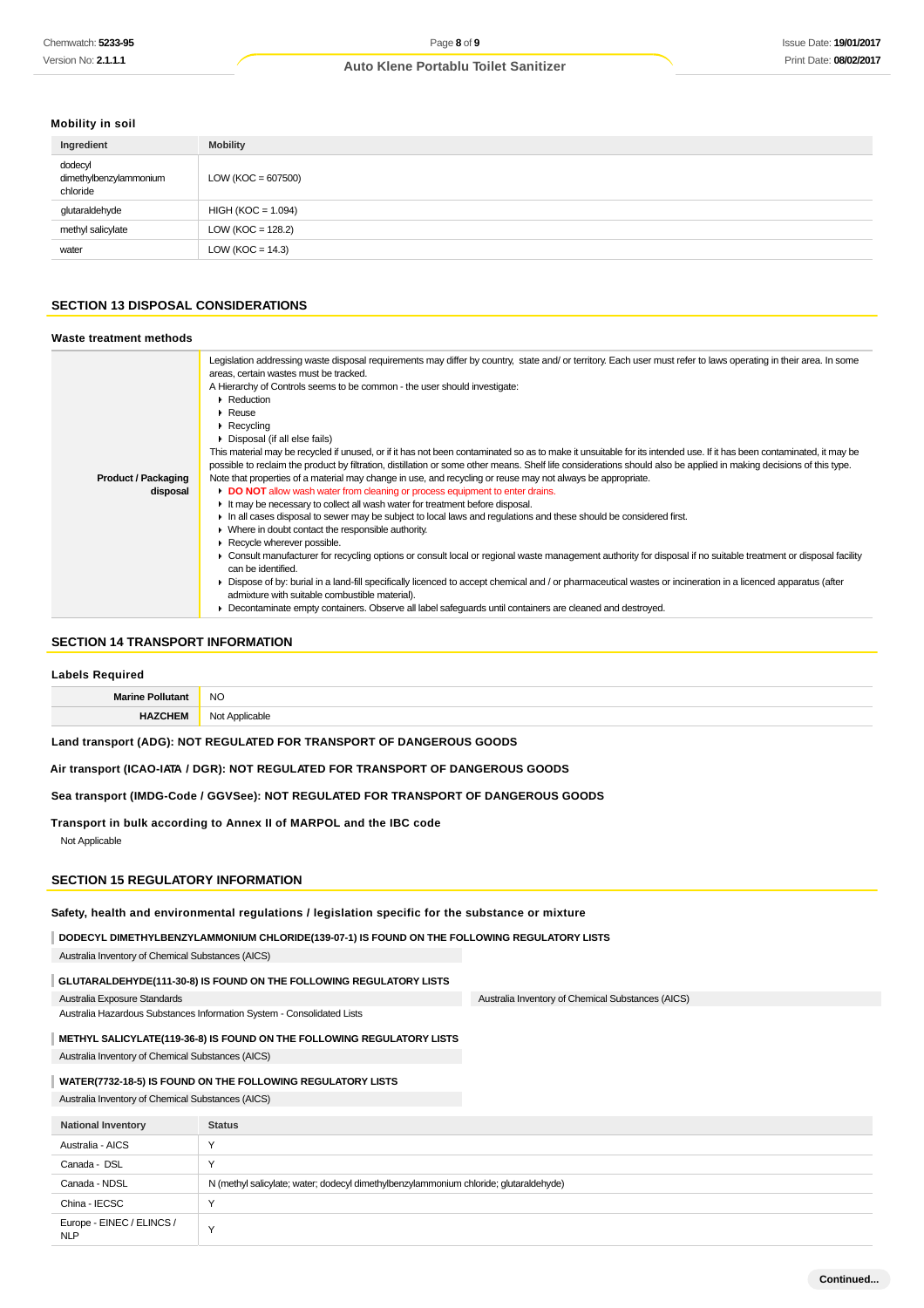## **Mobility in soil**

| Ingredient                                    | <b>Mobility</b>       |
|-----------------------------------------------|-----------------------|
| dodecyl<br>dimethylbenzylammonium<br>chloride | $LOW (KOC = 607500)$  |
| glutaraldehyde                                | $HIGH (KOC = 1.094)$  |
| methyl salicylate                             | LOW ( $KOC = 128.2$ ) |
| water                                         | LOW ( $KOC = 14.3$ )  |

#### **SECTION 13 DISPOSAL CONSIDERATIONS**

#### **Waste treatment methods**

|                            | Legislation addressing waste disposal requirements may differ by country, state and/ or territory. Each user must refer to laws operating in their area. In some<br>areas, certain wastes must be tracked. |
|----------------------------|------------------------------------------------------------------------------------------------------------------------------------------------------------------------------------------------------------|
|                            | A Hierarchy of Controls seems to be common - the user should investigate:                                                                                                                                  |
|                            | Reduction                                                                                                                                                                                                  |
|                            | $\blacktriangleright$ Reuse                                                                                                                                                                                |
|                            | $\triangleright$ Recycling                                                                                                                                                                                 |
|                            | Disposal (if all else fails)                                                                                                                                                                               |
|                            | This material may be recycled if unused, or if it has not been contaminated so as to make it unsuitable for its intended use. If it has been contaminated, it may be                                       |
|                            | possible to reclaim the product by filtration, distillation or some other means. Shelf life considerations should also be applied in making decisions of this type.                                        |
| <b>Product / Packaging</b> | Note that properties of a material may change in use, and recycling or reuse may not always be appropriate.                                                                                                |
| disposal                   | DO NOT allow wash water from cleaning or process equipment to enter drains.                                                                                                                                |
|                            | It may be necessary to collect all wash water for treatment before disposal.                                                                                                                               |
|                            | In all cases disposal to sewer may be subject to local laws and regulations and these should be considered first.                                                                                          |
|                            | • Where in doubt contact the responsible authority.                                                                                                                                                        |
|                            | Recycle wherever possible.                                                                                                                                                                                 |
|                            | ► Consult manufacturer for recycling options or consult local or regional waste management authority for disposal if no suitable treatment or disposal facility                                            |
|                            | can be identified.                                                                                                                                                                                         |
|                            | ► Dispose of by: burial in a land-fill specifically licenced to accept chemical and / or pharmaceutical wastes or incineration in a licenced apparatus (after                                              |
|                            | admixture with suitable combustible material).                                                                                                                                                             |
|                            | • Decontaminate empty containers. Observe all label safeguards until containers are cleaned and destroyed.                                                                                                 |
|                            |                                                                                                                                                                                                            |

## **SECTION 14 TRANSPORT INFORMATION**

#### **Labels Required**

| $\overline{\phantom{a}}$<br>ن ۱۷<br>$\sim$ |
|--------------------------------------------|
|                                            |

**Land transport (ADG): NOT REGULATED FOR TRANSPORT OF DANGEROUS GOODS**

**Air transport (ICAO-IATA / DGR): NOT REGULATED FOR TRANSPORT OF DANGEROUS GOODS**

**Sea transport (IMDG-Code / GGVSee): NOT REGULATED FOR TRANSPORT OF DANGEROUS GOODS**

**Transport in bulk according to Annex II of MARPOL and the IBC code** Not Applicable

#### **SECTION 15 REGULATORY INFORMATION**

**Safety, health and environmental regulations / legislation specific for the substance or mixture**

**DODECYL DIMETHYLBENZYLAMMONIUM CHLORIDE(139-07-1) IS FOUND ON THE FOLLOWING REGULATORY LISTS**

Australia Inventory of Chemical Substances (AICS)

#### **GLUTARALDEHYDE(111-30-8) IS FOUND ON THE FOLLOWING REGULATORY LISTS**

Australia Exposure Standards

Australia Hazardous Substances Information System - Consolidated Lists

**METHYL SALICYLATE(119-36-8) IS FOUND ON THE FOLLOWING REGULATORY LISTS**

Australia Inventory of Chemical Substances (AICS)

## **WATER(7732-18-5) IS FOUND ON THE FOLLOWING REGULATORY LISTS**

Australia Inventory of Chemical Substances (AICS)

| <b>National Inventory</b>               | <b>Status</b>                                                                         |
|-----------------------------------------|---------------------------------------------------------------------------------------|
| Australia - AICS                        | $\lambda$                                                                             |
| Canada - DSL                            | $\sqrt{}$                                                                             |
| Canada - NDSL                           | N (methyl salicylate; water; dodecyl dimethylbenzylammonium chloride; glutaraldehyde) |
| China - IECSC                           |                                                                                       |
| Europe - EINEC / ELINCS /<br><b>NLP</b> | $\checkmark$                                                                          |

Australia Inventory of Chemical Substances (AICS)